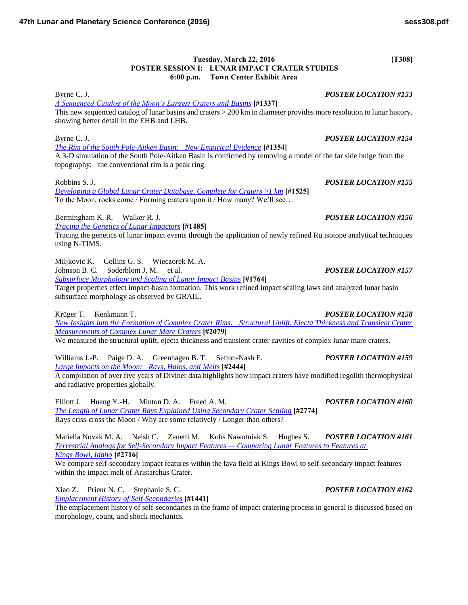## **Tuesday, March 22, 2016** [T308] **POSTER SESSION I: LUNAR IMPACT CRATER STUDIES 6:00 p.m. Town Center Exhibit Area**

Byrne C. J. *POSTER LOCATION #153*

*[A Sequenced Catalog of the Moon's Largest Craters and Basins](http://www.hou.usra.edu/meetings/lpsc2016/pdf/1337.pdf)* **[#1337]** This new sequenced catalog of lunar basins and craters > 200 km in diameter provides more resolution to lunar history, showing better detail in the EHB and LHB.

*[The Rim of the South Pole-Aitken Basin: New Empirical Evidence](http://www.hou.usra.edu/meetings/lpsc2016/pdf/1354.pdf)* **[#1354]** A 3-D simulation of the South Pole-Aitken Basin is confirmed by removing a model of the far side bulge from the topography: the conventional rim is a peak ring.

Robbins S. J. *POSTER LOCATION #155 [Developing a Global Lunar Crater Database, Complete for Craters ≥1 km](http://www.hou.usra.edu/meetings/lpsc2016/pdf/1525.pdf)* **[#1525]** To the Moon, rocks come / Forming craters upon it / How many? We'll see…

Bermingham K. R. Walker R. J. *POSTER LOCATION #156 [Tracing the Genetics of Lunar Impactors](http://www.hou.usra.edu/meetings/lpsc2016/pdf/1485.pdf)* **[#1485]** Tracing the genetics of lunar impact events through the application of newly refined Ru isotope analytical techniques using N-TIMS.

Miljkovic K. Collins G. S. Wieczorek M. A. Johnson B. C. Soderblom J. M. et al. *POSTER LOCATION #157 [Subsurface Morphology and Scaling of Lunar Impact Basins](http://www.hou.usra.edu/meetings/lpsc2016/pdf/1764.pdf)* **[#1764]** Target properties effect impact-basin formation. This work refined impact scaling laws and analyzed lunar basin

subsurface morphology as observed by GRAIL.

Krüger T. Kenkmann T. *POSTER LOCATION #158 [New Insights into the Formation of Complex Crater Rims: Structural Uplift, Ejecta Thickness and Transient Crater](http://www.hou.usra.edu/meetings/lpsc2016/pdf/2079.pdf)  [Measurements of Complex Lunar Mare Craters](http://www.hou.usra.edu/meetings/lpsc2016/pdf/2079.pdf)* **[#2079]**

We measured the structural uplift, ejecta thickness and transient crater cavities of complex lunar mare craters.

Williams J.-P. Paige D. A. Greenhagen B. T. Sefton-Nash E. *POSTER LOCATION #159 [Large Impacts on the Moon: Rays, Halos, and Melts](http://www.hou.usra.edu/meetings/lpsc2016/pdf/2444.pdf)* **[#2444]** A compilation of over five years of Diviner data highlights how impact craters have modified regolith thermophysical and radiative properties globally.

Elliott J. Huang Y.-H. Minton D. A. Freed A. M. *POSTER LOCATION #160 [The Length of Lunar Crater Rays Explained Using Secondary Crater Scaling](http://www.hou.usra.edu/meetings/lpsc2016/pdf/2774.pdf)* **[#2774]** Rays criss-cross the Moon / Why are some relatively / Longer than others?

Matiella Novak M. A. Neish C. Zanetti M. Kobs Nawotniak S. Hughes S. *POSTER LOCATION #161 [Terrestrial Analogs for Self-Secondary Impact Features — Comparing Lunar Features to Features at](http://www.hou.usra.edu/meetings/lpsc2016/pdf/2716.pdf)  [Kings Bowl, Idaho](http://www.hou.usra.edu/meetings/lpsc2016/pdf/2716.pdf)* **[#2716]**

We compare self-secondary impact features within the lava field at Kings Bowl to self-secondary impact features within the impact melt of Aristarchus Crater.

Xiao Z. Prieur N. C. Stephanie S. C. *POSTER LOCATION #162*

*[Emplacement History of Self-Secondaries](http://www.hou.usra.edu/meetings/lpsc2016/pdf/1441.pdf)* **[#1441]** The emplacement history of self-secondaries in the frame of impact cratering process in general is discussed based on morphology, count, and shock mechanics.

# **47th Lunar and Planetary Science Conference (2016) sess308.pdf**

Byrne C. J. *POSTER LOCATION #154*